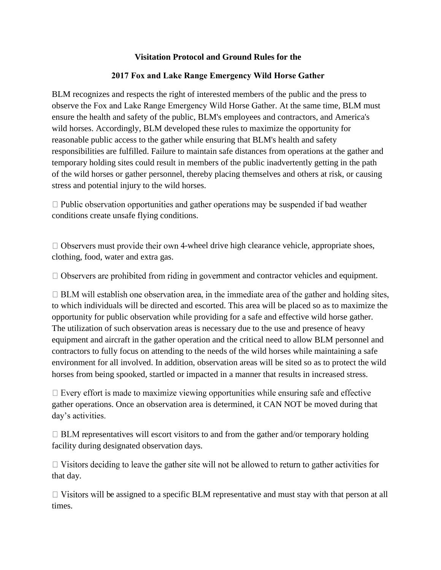## **Visitation Protocol and Ground Rules for the**

## **2017 Fox and Lake Range Emergency Wild Horse Gather**

BLM recognizes and respects the right of interested members of the public and the press to observe the Fox and Lake Range Emergency Wild Horse Gather. At the same time, BLM must ensure the health and safety of the public, BLM's employees and contractors, and America's wild horses. Accordingly, BLM developed these rules to maximize the opportunity for reasonable public access to the gather while ensuring that BLM's health and safety responsibilities are fulfilled. Failure to maintain safe distances from operations at the gather and temporary holding sites could result in members of the public inadvertently getting in the path of the wild horses or gather personnel, thereby placing themselves and others at risk, or causing stress and potential injury to the wild horses.

 $\Box$  Public observation opportunities and gather operations may be suspended if bad weather conditions create unsafe flying conditions.

 $\Box$  Observers must provide their own 4-wheel drive high clearance vehicle, appropriate shoes, clothing, food, water and extra gas.

 $\Box$  Observers are prohibited from riding in government and contractor vehicles and equipment.

 $\Box$  BLM will establish one observation area, in the immediate area of the gather and holding sites, to which individuals will be directed and escorted. This area will be placed so as to maximize the opportunity for public observation while providing for a safe and effective wild horse gather. The utilization of such observation areas is necessary due to the use and presence of heavy equipment and aircraft in the gather operation and the critical need to allow BLM personnel and contractors to fully focus on attending to the needs of the wild horses while maintaining a safe environment for all involved. In addition, observation areas will be sited so as to protect the wild horses from being spooked, startled or impacted in a manner that results in increased stress.

 $\Box$  Every effort is made to maximize viewing opportunities while ensuring safe and effective gather operations. Once an observation area is determined, it CAN NOT be moved during that day's activities.

 $\Box$  BLM representatives will escort visitors to and from the gather and/or temporary holding facility during designated observation days.

 $\Box$  Visitors deciding to leave the gather site will not be allowed to return to gather activities for that day.

 $\Box$  Visitors will be assigned to a specific BLM representative and must stay with that person at all times.